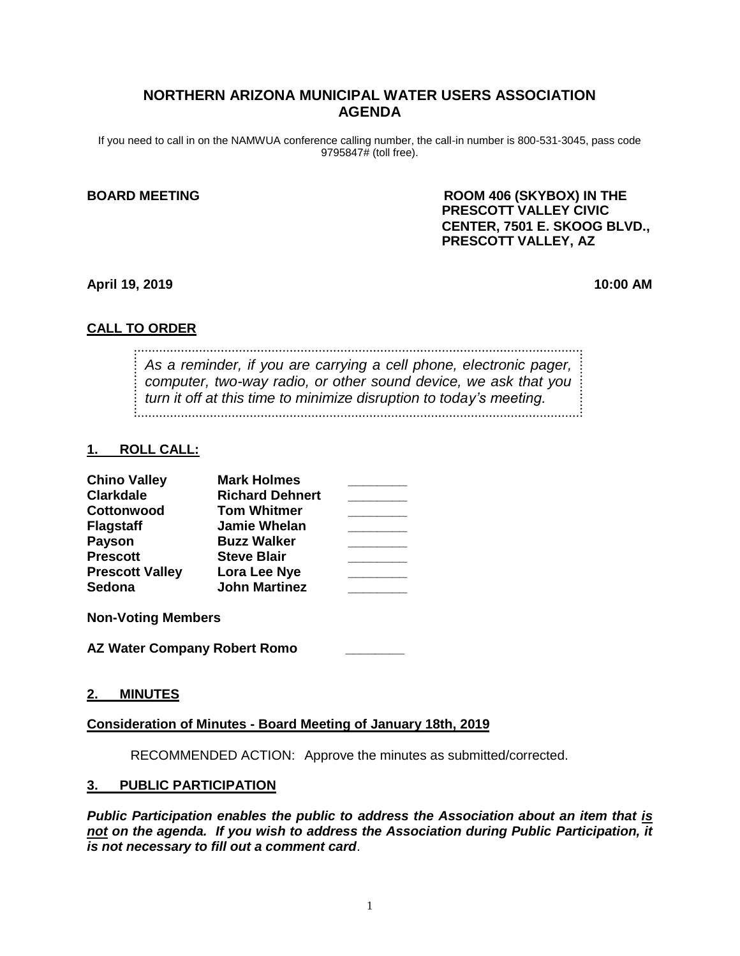# **NORTHERN ARIZONA MUNICIPAL WATER USERS ASSOCIATION AGENDA**

If you need to call in on the NAMWUA conference calling number, the call-in number is 800-531-3045, pass code 9795847# (toll free).

**BOARD MEETING ROOM 406 (SKYBOX) IN THE PRESCOTT VALLEY CIVIC CENTER, 7501 E. SKOOG BLVD., PRESCOTT VALLEY, AZ**

**April 19, 2019 10:00 AM**

# **CALL TO ORDER**

*As a reminder, if you are carrying a cell phone, electronic pager, computer, two-way radio, or other sound device, we ask that you turn it off at this time to minimize disruption to today's meeting.*

### **1. ROLL CALL:**

| <b>Chino Valley</b>    | <b>Mark Holmes</b>     |  |
|------------------------|------------------------|--|
| <b>Clarkdale</b>       | <b>Richard Dehnert</b> |  |
| Cottonwood             | <b>Tom Whitmer</b>     |  |
| <b>Flagstaff</b>       | <b>Jamie Whelan</b>    |  |
| <b>Payson</b>          | <b>Buzz Walker</b>     |  |
| <b>Prescott</b>        | <b>Steve Blair</b>     |  |
| <b>Prescott Valley</b> | Lora Lee Nye           |  |
| <b>Sedona</b>          | <b>John Martinez</b>   |  |

**Non-Voting Members**

**AZ Water Company Robert Romo \_\_\_\_\_\_\_\_** 

### **2. MINUTES**

### **Consideration of Minutes - Board Meeting of January 18th, 2019**

RECOMMENDED ACTION: Approve the minutes as submitted/corrected.

### **3. PUBLIC PARTICIPATION**

*Public Participation enables the public to address the Association about an item that is not on the agenda. If you wish to address the Association during Public Participation, it is not necessary to fill out a comment card*.